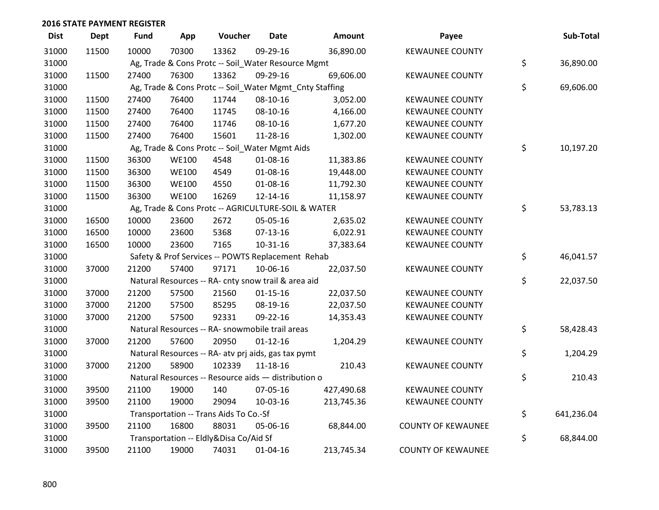| <b>Dist</b> | <b>Dept</b> | Fund  | App          | Voucher                                             | <b>Date</b>    | Amount                                                  | Payee                     | Sub-Total        |
|-------------|-------------|-------|--------------|-----------------------------------------------------|----------------|---------------------------------------------------------|---------------------------|------------------|
| 31000       | 11500       | 10000 | 70300        | 13362                                               | 09-29-16       | 36,890.00                                               | <b>KEWAUNEE COUNTY</b>    |                  |
| 31000       |             |       |              | Ag, Trade & Cons Protc -- Soil_Water Resource Mgmt  |                |                                                         |                           | \$<br>36,890.00  |
| 31000       | 11500       | 27400 | 76300        | 13362                                               | 09-29-16       | 69,606.00                                               | <b>KEWAUNEE COUNTY</b>    |                  |
| 31000       |             |       |              |                                                     |                | Ag, Trade & Cons Protc -- Soil_Water Mgmt_Cnty Staffing |                           | \$<br>69,606.00  |
| 31000       | 11500       | 27400 | 76400        | 11744                                               | 08-10-16       | 3,052.00                                                | <b>KEWAUNEE COUNTY</b>    |                  |
| 31000       | 11500       | 27400 | 76400        | 11745                                               | 08-10-16       | 4,166.00                                                | <b>KEWAUNEE COUNTY</b>    |                  |
| 31000       | 11500       | 27400 | 76400        | 11746                                               | 08-10-16       | 1,677.20                                                | <b>KEWAUNEE COUNTY</b>    |                  |
| 31000       | 11500       | 27400 | 76400        | 15601                                               | 11-28-16       | 1,302.00                                                | <b>KEWAUNEE COUNTY</b>    |                  |
| 31000       |             |       |              | Ag, Trade & Cons Protc -- Soil_Water Mgmt Aids      |                |                                                         |                           | \$<br>10,197.20  |
| 31000       | 11500       | 36300 | <b>WE100</b> | 4548                                                | 01-08-16       | 11,383.86                                               | <b>KEWAUNEE COUNTY</b>    |                  |
| 31000       | 11500       | 36300 | <b>WE100</b> | 4549                                                | 01-08-16       | 19,448.00                                               | <b>KEWAUNEE COUNTY</b>    |                  |
| 31000       | 11500       | 36300 | <b>WE100</b> | 4550                                                | 01-08-16       | 11,792.30                                               | <b>KEWAUNEE COUNTY</b>    |                  |
| 31000       | 11500       | 36300 | <b>WE100</b> | 16269                                               | 12-14-16       | 11,158.97                                               | <b>KEWAUNEE COUNTY</b>    |                  |
| 31000       |             |       |              | Ag, Trade & Cons Protc -- AGRICULTURE-SOIL & WATER  |                |                                                         |                           | \$<br>53,783.13  |
| 31000       | 16500       | 10000 | 23600        | 2672                                                | 05-05-16       | 2,635.02                                                | <b>KEWAUNEE COUNTY</b>    |                  |
| 31000       | 16500       | 10000 | 23600        | 5368                                                | $07-13-16$     | 6,022.91                                                | <b>KEWAUNEE COUNTY</b>    |                  |
| 31000       | 16500       | 10000 | 23600        | 7165                                                | $10-31-16$     | 37,383.64                                               | <b>KEWAUNEE COUNTY</b>    |                  |
| 31000       |             |       |              | Safety & Prof Services -- POWTS Replacement Rehab   |                |                                                         |                           | \$<br>46,041.57  |
| 31000       | 37000       | 21200 | 57400        | 97171                                               | 10-06-16       | 22,037.50                                               | <b>KEWAUNEE COUNTY</b>    |                  |
| 31000       |             |       |              | Natural Resources -- RA- cnty snow trail & area aid |                |                                                         |                           | \$<br>22,037.50  |
| 31000       | 37000       | 21200 | 57500        | 21560                                               | $01 - 15 - 16$ | 22,037.50                                               | <b>KEWAUNEE COUNTY</b>    |                  |
| 31000       | 37000       | 21200 | 57500        | 85295                                               | 08-19-16       | 22,037.50                                               | <b>KEWAUNEE COUNTY</b>    |                  |
| 31000       | 37000       | 21200 | 57500        | 92331                                               | 09-22-16       | 14,353.43                                               | <b>KEWAUNEE COUNTY</b>    |                  |
| 31000       |             |       |              | Natural Resources -- RA- snowmobile trail areas     |                |                                                         |                           | \$<br>58,428.43  |
| 31000       | 37000       | 21200 | 57600        | 20950                                               | $01 - 12 - 16$ | 1,204.29                                                | <b>KEWAUNEE COUNTY</b>    |                  |
| 31000       |             |       |              | Natural Resources -- RA- atv prj aids, gas tax pymt |                |                                                         |                           | \$<br>1,204.29   |
| 31000       | 37000       | 21200 | 58900        | 102339                                              | 11-18-16       | 210.43                                                  | <b>KEWAUNEE COUNTY</b>    |                  |
| 31000       |             |       |              | Natural Resources -- Resource aids - distribution o |                |                                                         |                           | \$<br>210.43     |
| 31000       | 39500       | 21100 | 19000        | 140                                                 | 07-05-16       | 427,490.68                                              | <b>KEWAUNEE COUNTY</b>    |                  |
| 31000       | 39500       | 21100 | 19000        | 29094                                               | 10-03-16       | 213,745.36                                              | <b>KEWAUNEE COUNTY</b>    |                  |
| 31000       |             |       |              | Transportation -- Trans Aids To Co.-Sf              |                |                                                         |                           | \$<br>641,236.04 |
| 31000       | 39500       | 21100 | 16800        | 88031                                               | 05-06-16       | 68,844.00                                               | <b>COUNTY OF KEWAUNEE</b> |                  |
| 31000       |             |       |              | Transportation -- Eldly&Disa Co/Aid Sf              |                |                                                         |                           | \$<br>68,844.00  |
| 31000       | 39500       | 21100 | 19000        | 74031                                               | 01-04-16       | 213,745.34                                              | <b>COUNTY OF KEWAUNEE</b> |                  |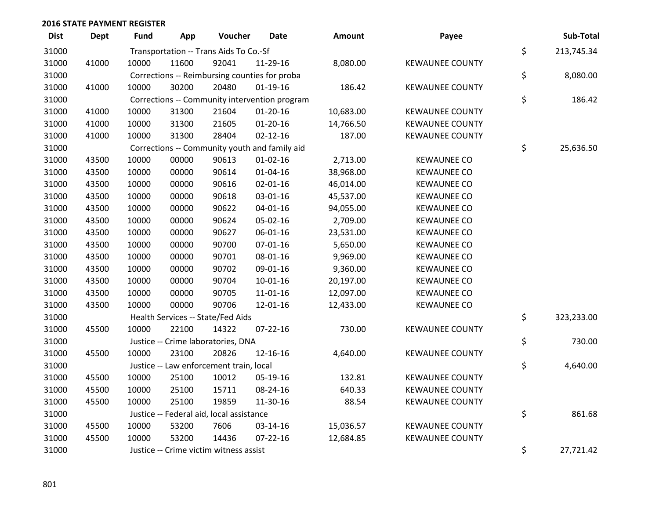| <b>Dist</b> | <b>Dept</b> | <b>Fund</b> | App   | Voucher                                  | <b>Date</b>                                   | <b>Amount</b> | Payee                  | Sub-Total        |
|-------------|-------------|-------------|-------|------------------------------------------|-----------------------------------------------|---------------|------------------------|------------------|
| 31000       |             |             |       | Transportation -- Trans Aids To Co.-Sf   |                                               |               |                        | \$<br>213,745.34 |
| 31000       | 41000       | 10000       | 11600 | 92041                                    | 11-29-16                                      | 8,080.00      | <b>KEWAUNEE COUNTY</b> |                  |
| 31000       |             |             |       |                                          | Corrections -- Reimbursing counties for proba |               |                        | \$<br>8,080.00   |
| 31000       | 41000       | 10000       | 30200 | 20480                                    | $01-19-16$                                    | 186.42        | <b>KEWAUNEE COUNTY</b> |                  |
| 31000       |             |             |       |                                          | Corrections -- Community intervention program |               |                        | \$<br>186.42     |
| 31000       | 41000       | 10000       | 31300 | 21604                                    | $01-20-16$                                    | 10,683.00     | <b>KEWAUNEE COUNTY</b> |                  |
| 31000       | 41000       | 10000       | 31300 | 21605                                    | $01 - 20 - 16$                                | 14,766.50     | <b>KEWAUNEE COUNTY</b> |                  |
| 31000       | 41000       | 10000       | 31300 | 28404                                    | $02 - 12 - 16$                                | 187.00        | <b>KEWAUNEE COUNTY</b> |                  |
| 31000       |             |             |       |                                          | Corrections -- Community youth and family aid |               |                        | \$<br>25,636.50  |
| 31000       | 43500       | 10000       | 00000 | 90613                                    | $01 - 02 - 16$                                | 2,713.00      | <b>KEWAUNEE CO</b>     |                  |
| 31000       | 43500       | 10000       | 00000 | 90614                                    | $01 - 04 - 16$                                | 38,968.00     | <b>KEWAUNEE CO</b>     |                  |
| 31000       | 43500       | 10000       | 00000 | 90616                                    | $02 - 01 - 16$                                | 46,014.00     | <b>KEWAUNEE CO</b>     |                  |
| 31000       | 43500       | 10000       | 00000 | 90618                                    | 03-01-16                                      | 45,537.00     | <b>KEWAUNEE CO</b>     |                  |
| 31000       | 43500       | 10000       | 00000 | 90622                                    | $04 - 01 - 16$                                | 94,055.00     | <b>KEWAUNEE CO</b>     |                  |
| 31000       | 43500       | 10000       | 00000 | 90624                                    | 05-02-16                                      | 2,709.00      | <b>KEWAUNEE CO</b>     |                  |
| 31000       | 43500       | 10000       | 00000 | 90627                                    | 06-01-16                                      | 23,531.00     | <b>KEWAUNEE CO</b>     |                  |
| 31000       | 43500       | 10000       | 00000 | 90700                                    | $07 - 01 - 16$                                | 5,650.00      | <b>KEWAUNEE CO</b>     |                  |
| 31000       | 43500       | 10000       | 00000 | 90701                                    | 08-01-16                                      | 9,969.00      | <b>KEWAUNEE CO</b>     |                  |
| 31000       | 43500       | 10000       | 00000 | 90702                                    | 09-01-16                                      | 9,360.00      | <b>KEWAUNEE CO</b>     |                  |
| 31000       | 43500       | 10000       | 00000 | 90704                                    | $10 - 01 - 16$                                | 20,197.00     | <b>KEWAUNEE CO</b>     |                  |
| 31000       | 43500       | 10000       | 00000 | 90705                                    | 11-01-16                                      | 12,097.00     | <b>KEWAUNEE CO</b>     |                  |
| 31000       | 43500       | 10000       | 00000 | 90706                                    | 12-01-16                                      | 12,433.00     | <b>KEWAUNEE CO</b>     |                  |
| 31000       |             |             |       | Health Services -- State/Fed Aids        |                                               |               |                        | \$<br>323,233.00 |
| 31000       | 45500       | 10000       | 22100 | 14322                                    | $07 - 22 - 16$                                | 730.00        | <b>KEWAUNEE COUNTY</b> |                  |
| 31000       |             |             |       | Justice -- Crime laboratories, DNA       |                                               |               |                        | \$<br>730.00     |
| 31000       | 45500       | 10000       | 23100 | 20826                                    | 12-16-16                                      | 4,640.00      | <b>KEWAUNEE COUNTY</b> |                  |
| 31000       |             |             |       | Justice -- Law enforcement train, local  |                                               |               |                        | \$<br>4,640.00   |
| 31000       | 45500       | 10000       | 25100 | 10012                                    | 05-19-16                                      | 132.81        | <b>KEWAUNEE COUNTY</b> |                  |
| 31000       | 45500       | 10000       | 25100 | 15711                                    | 08-24-16                                      | 640.33        | <b>KEWAUNEE COUNTY</b> |                  |
| 31000       | 45500       | 10000       | 25100 | 19859                                    | 11-30-16                                      | 88.54         | <b>KEWAUNEE COUNTY</b> |                  |
| 31000       |             |             |       | Justice -- Federal aid, local assistance |                                               |               |                        | \$<br>861.68     |
| 31000       | 45500       | 10000       | 53200 | 7606                                     | 03-14-16                                      | 15,036.57     | <b>KEWAUNEE COUNTY</b> |                  |
| 31000       | 45500       | 10000       | 53200 | 14436                                    | $07 - 22 - 16$                                | 12,684.85     | <b>KEWAUNEE COUNTY</b> |                  |
| 31000       |             |             |       | Justice -- Crime victim witness assist   |                                               |               |                        | \$<br>27,721.42  |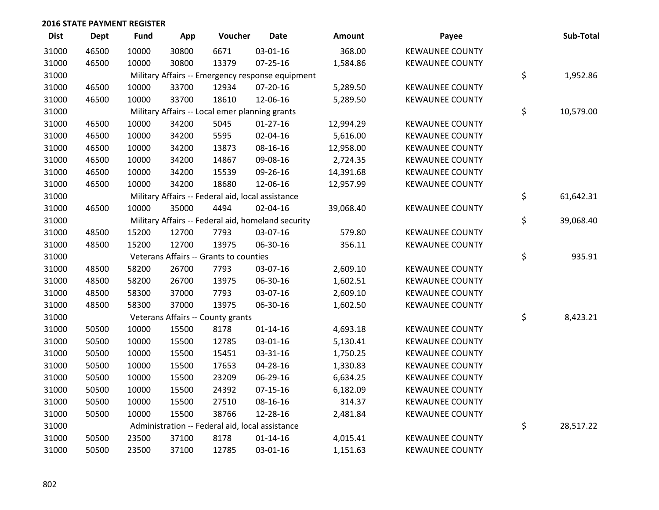| <b>Dist</b> | <b>Dept</b> | <b>Fund</b> | App   | Voucher                                            | <b>Date</b>    | Amount    | Payee                  | Sub-Total       |
|-------------|-------------|-------------|-------|----------------------------------------------------|----------------|-----------|------------------------|-----------------|
| 31000       | 46500       | 10000       | 30800 | 6671                                               | 03-01-16       | 368.00    | <b>KEWAUNEE COUNTY</b> |                 |
| 31000       | 46500       | 10000       | 30800 | 13379                                              | $07 - 25 - 16$ | 1,584.86  | <b>KEWAUNEE COUNTY</b> |                 |
| 31000       |             |             |       | Military Affairs -- Emergency response equipment   |                |           |                        | \$<br>1,952.86  |
| 31000       | 46500       | 10000       | 33700 | 12934                                              | $07 - 20 - 16$ | 5,289.50  | <b>KEWAUNEE COUNTY</b> |                 |
| 31000       | 46500       | 10000       | 33700 | 18610                                              | 12-06-16       | 5,289.50  | <b>KEWAUNEE COUNTY</b> |                 |
| 31000       |             |             |       | Military Affairs -- Local emer planning grants     |                |           |                        | \$<br>10,579.00 |
| 31000       | 46500       | 10000       | 34200 | 5045                                               | $01-27-16$     | 12,994.29 | <b>KEWAUNEE COUNTY</b> |                 |
| 31000       | 46500       | 10000       | 34200 | 5595                                               | 02-04-16       | 5,616.00  | <b>KEWAUNEE COUNTY</b> |                 |
| 31000       | 46500       | 10000       | 34200 | 13873                                              | 08-16-16       | 12,958.00 | <b>KEWAUNEE COUNTY</b> |                 |
| 31000       | 46500       | 10000       | 34200 | 14867                                              | 09-08-16       | 2,724.35  | <b>KEWAUNEE COUNTY</b> |                 |
| 31000       | 46500       | 10000       | 34200 | 15539                                              | 09-26-16       | 14,391.68 | <b>KEWAUNEE COUNTY</b> |                 |
| 31000       | 46500       | 10000       | 34200 | 18680                                              | 12-06-16       | 12,957.99 | <b>KEWAUNEE COUNTY</b> |                 |
| 31000       |             |             |       | Military Affairs -- Federal aid, local assistance  |                |           |                        | \$<br>61,642.31 |
| 31000       | 46500       | 10000       | 35000 | 4494                                               | 02-04-16       | 39,068.40 | <b>KEWAUNEE COUNTY</b> |                 |
| 31000       |             |             |       | Military Affairs -- Federal aid, homeland security |                |           |                        | \$<br>39,068.40 |
| 31000       | 48500       | 15200       | 12700 | 7793                                               | 03-07-16       | 579.80    | <b>KEWAUNEE COUNTY</b> |                 |
| 31000       | 48500       | 15200       | 12700 | 13975                                              | 06-30-16       | 356.11    | <b>KEWAUNEE COUNTY</b> |                 |
| 31000       |             |             |       | Veterans Affairs -- Grants to counties             |                |           |                        | \$<br>935.91    |
| 31000       | 48500       | 58200       | 26700 | 7793                                               | 03-07-16       | 2,609.10  | <b>KEWAUNEE COUNTY</b> |                 |
| 31000       | 48500       | 58200       | 26700 | 13975                                              | 06-30-16       | 1,602.51  | <b>KEWAUNEE COUNTY</b> |                 |
| 31000       | 48500       | 58300       | 37000 | 7793                                               | 03-07-16       | 2,609.10  | <b>KEWAUNEE COUNTY</b> |                 |
| 31000       | 48500       | 58300       | 37000 | 13975                                              | 06-30-16       | 1,602.50  | <b>KEWAUNEE COUNTY</b> |                 |
| 31000       |             |             |       | Veterans Affairs -- County grants                  |                |           |                        | \$<br>8,423.21  |
| 31000       | 50500       | 10000       | 15500 | 8178                                               | $01 - 14 - 16$ | 4,693.18  | <b>KEWAUNEE COUNTY</b> |                 |
| 31000       | 50500       | 10000       | 15500 | 12785                                              | 03-01-16       | 5,130.41  | <b>KEWAUNEE COUNTY</b> |                 |
| 31000       | 50500       | 10000       | 15500 | 15451                                              | 03-31-16       | 1,750.25  | <b>KEWAUNEE COUNTY</b> |                 |
| 31000       | 50500       | 10000       | 15500 | 17653                                              | 04-28-16       | 1,330.83  | <b>KEWAUNEE COUNTY</b> |                 |
| 31000       | 50500       | 10000       | 15500 | 23209                                              | 06-29-16       | 6,634.25  | <b>KEWAUNEE COUNTY</b> |                 |
| 31000       | 50500       | 10000       | 15500 | 24392                                              | $07 - 15 - 16$ | 6,182.09  | <b>KEWAUNEE COUNTY</b> |                 |
| 31000       | 50500       | 10000       | 15500 | 27510                                              | 08-16-16       | 314.37    | <b>KEWAUNEE COUNTY</b> |                 |
| 31000       | 50500       | 10000       | 15500 | 38766                                              | 12-28-16       | 2,481.84  | <b>KEWAUNEE COUNTY</b> |                 |
| 31000       |             |             |       | Administration -- Federal aid, local assistance    |                |           |                        | \$<br>28,517.22 |
| 31000       | 50500       | 23500       | 37100 | 8178                                               | $01 - 14 - 16$ | 4,015.41  | <b>KEWAUNEE COUNTY</b> |                 |
| 31000       | 50500       | 23500       | 37100 | 12785                                              | 03-01-16       | 1,151.63  | <b>KEWAUNEE COUNTY</b> |                 |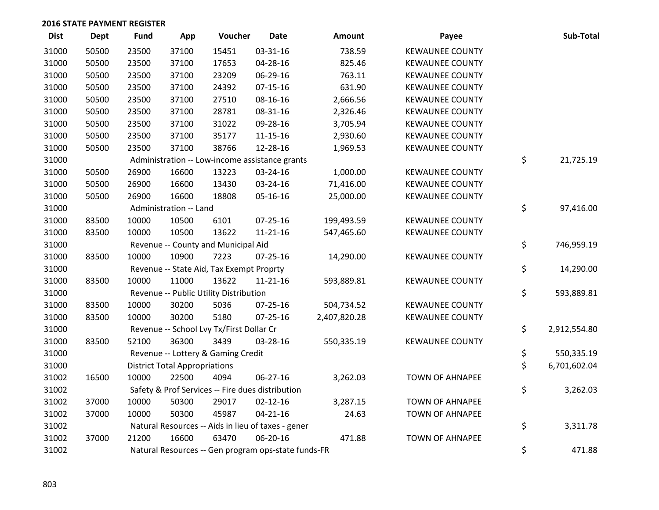| <b>Dist</b> | <b>Dept</b> | <b>Fund</b> | App                                  | Voucher                                  | <b>Date</b>                                         | Amount       | Payee                  | Sub-Total          |
|-------------|-------------|-------------|--------------------------------------|------------------------------------------|-----------------------------------------------------|--------------|------------------------|--------------------|
| 31000       | 50500       | 23500       | 37100                                | 15451                                    | 03-31-16                                            | 738.59       | <b>KEWAUNEE COUNTY</b> |                    |
| 31000       | 50500       | 23500       | 37100                                | 17653                                    | 04-28-16                                            | 825.46       | <b>KEWAUNEE COUNTY</b> |                    |
| 31000       | 50500       | 23500       | 37100                                | 23209                                    | 06-29-16                                            | 763.11       | <b>KEWAUNEE COUNTY</b> |                    |
| 31000       | 50500       | 23500       | 37100                                | 24392                                    | $07 - 15 - 16$                                      | 631.90       | <b>KEWAUNEE COUNTY</b> |                    |
| 31000       | 50500       | 23500       | 37100                                | 27510                                    | 08-16-16                                            | 2,666.56     | <b>KEWAUNEE COUNTY</b> |                    |
| 31000       | 50500       | 23500       | 37100                                | 28781                                    | 08-31-16                                            | 2,326.46     | <b>KEWAUNEE COUNTY</b> |                    |
| 31000       | 50500       | 23500       | 37100                                | 31022                                    | 09-28-16                                            | 3,705.94     | <b>KEWAUNEE COUNTY</b> |                    |
| 31000       | 50500       | 23500       | 37100                                | 35177                                    | $11 - 15 - 16$                                      | 2,930.60     | <b>KEWAUNEE COUNTY</b> |                    |
| 31000       | 50500       | 23500       | 37100                                | 38766                                    | 12-28-16                                            | 1,969.53     | <b>KEWAUNEE COUNTY</b> |                    |
| 31000       |             |             |                                      |                                          | Administration -- Low-income assistance grants      |              |                        | \$<br>21,725.19    |
| 31000       | 50500       | 26900       | 16600                                | 13223                                    | 03-24-16                                            | 1,000.00     | <b>KEWAUNEE COUNTY</b> |                    |
| 31000       | 50500       | 26900       | 16600                                | 13430                                    | 03-24-16                                            | 71,416.00    | <b>KEWAUNEE COUNTY</b> |                    |
| 31000       | 50500       | 26900       | 16600                                | 18808                                    | 05-16-16                                            | 25,000.00    | <b>KEWAUNEE COUNTY</b> |                    |
| 31000       |             |             | Administration -- Land               |                                          |                                                     |              |                        | \$<br>97,416.00    |
| 31000       | 83500       | 10000       | 10500                                | 6101                                     | 07-25-16                                            | 199,493.59   | <b>KEWAUNEE COUNTY</b> |                    |
| 31000       | 83500       | 10000       | 10500                                | 13622                                    | $11 - 21 - 16$                                      | 547,465.60   | <b>KEWAUNEE COUNTY</b> |                    |
| 31000       |             |             |                                      | Revenue -- County and Municipal Aid      |                                                     |              |                        | \$<br>746,959.19   |
| 31000       | 83500       | 10000       | 10900                                | 7223                                     | $07 - 25 - 16$                                      | 14,290.00    | <b>KEWAUNEE COUNTY</b> |                    |
| 31000       |             |             |                                      | Revenue -- State Aid, Tax Exempt Proprty |                                                     |              |                        | \$<br>14,290.00    |
| 31000       | 83500       | 10000       | 11000                                | 13622                                    | $11 - 21 - 16$                                      | 593,889.81   | <b>KEWAUNEE COUNTY</b> |                    |
| 31000       |             |             |                                      | Revenue -- Public Utility Distribution   |                                                     |              |                        | \$<br>593,889.81   |
| 31000       | 83500       | 10000       | 30200                                | 5036                                     | $07 - 25 - 16$                                      | 504,734.52   | <b>KEWAUNEE COUNTY</b> |                    |
| 31000       | 83500       | 10000       | 30200                                | 5180                                     | 07-25-16                                            | 2,407,820.28 | <b>KEWAUNEE COUNTY</b> |                    |
| 31000       |             |             |                                      | Revenue -- School Lvy Tx/First Dollar Cr |                                                     |              |                        | \$<br>2,912,554.80 |
| 31000       | 83500       | 52100       | 36300                                | 3439                                     | 03-28-16                                            | 550,335.19   | <b>KEWAUNEE COUNTY</b> |                    |
| 31000       |             |             |                                      | Revenue -- Lottery & Gaming Credit       |                                                     |              |                        | \$<br>550,335.19   |
| 31000       |             |             | <b>District Total Appropriations</b> |                                          |                                                     |              |                        | \$<br>6,701,602.04 |
| 31002       | 16500       | 10000       | 22500                                | 4094                                     | 06-27-16                                            | 3,262.03     | <b>TOWN OF AHNAPEE</b> |                    |
| 31002       |             |             |                                      |                                          | Safety & Prof Services -- Fire dues distribution    |              |                        | \$<br>3,262.03     |
| 31002       | 37000       | 10000       | 50300                                | 29017                                    | $02 - 12 - 16$                                      | 3,287.15     | <b>TOWN OF AHNAPEE</b> |                    |
| 31002       | 37000       | 10000       | 50300                                | 45987                                    | $04 - 21 - 16$                                      | 24.63        | <b>TOWN OF AHNAPEE</b> |                    |
| 31002       |             |             |                                      |                                          | Natural Resources -- Aids in lieu of taxes - gener  |              |                        | \$<br>3,311.78     |
| 31002       | 37000       | 21200       | 16600                                | 63470                                    | 06-20-16                                            | 471.88       | <b>TOWN OF AHNAPEE</b> |                    |
| 31002       |             |             |                                      |                                          | Natural Resources -- Gen program ops-state funds-FR |              |                        | \$<br>471.88       |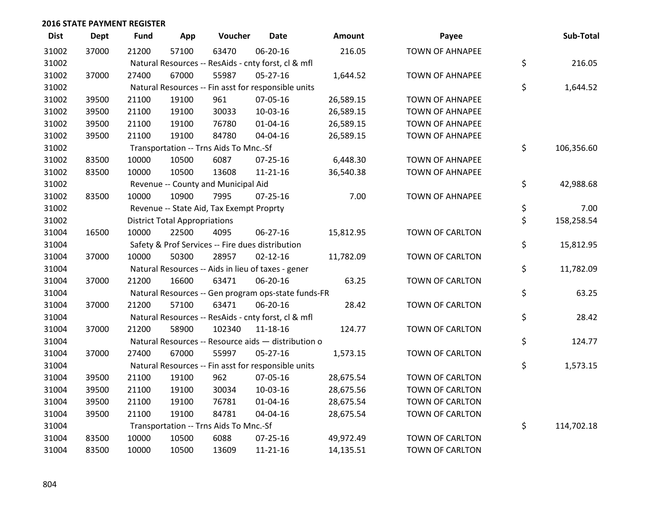| <b>Dist</b> | <b>Dept</b> | <b>Fund</b> | App                                  | Voucher                                             | <b>Date</b>    | <b>Amount</b> | Payee                  | Sub-Total        |
|-------------|-------------|-------------|--------------------------------------|-----------------------------------------------------|----------------|---------------|------------------------|------------------|
| 31002       | 37000       | 21200       | 57100                                | 63470                                               | 06-20-16       | 216.05        | <b>TOWN OF AHNAPEE</b> |                  |
| 31002       |             |             |                                      | Natural Resources -- ResAids - cnty forst, cl & mfl |                |               |                        | \$<br>216.05     |
| 31002       | 37000       | 27400       | 67000                                | 55987                                               | $05 - 27 - 16$ | 1,644.52      | <b>TOWN OF AHNAPEE</b> |                  |
| 31002       |             |             |                                      | Natural Resources -- Fin asst for responsible units |                |               |                        | \$<br>1,644.52   |
| 31002       | 39500       | 21100       | 19100                                | 961                                                 | 07-05-16       | 26,589.15     | <b>TOWN OF AHNAPEE</b> |                  |
| 31002       | 39500       | 21100       | 19100                                | 30033                                               | 10-03-16       | 26,589.15     | <b>TOWN OF AHNAPEE</b> |                  |
| 31002       | 39500       | 21100       | 19100                                | 76780                                               | $01 - 04 - 16$ | 26,589.15     | <b>TOWN OF AHNAPEE</b> |                  |
| 31002       | 39500       | 21100       | 19100                                | 84780                                               | 04-04-16       | 26,589.15     | <b>TOWN OF AHNAPEE</b> |                  |
| 31002       |             |             |                                      | Transportation -- Trns Aids To Mnc.-Sf              |                |               |                        | \$<br>106,356.60 |
| 31002       | 83500       | 10000       | 10500                                | 6087                                                | $07 - 25 - 16$ | 6,448.30      | <b>TOWN OF AHNAPEE</b> |                  |
| 31002       | 83500       | 10000       | 10500                                | 13608                                               | $11 - 21 - 16$ | 36,540.38     | <b>TOWN OF AHNAPEE</b> |                  |
| 31002       |             |             |                                      | Revenue -- County and Municipal Aid                 |                |               |                        | \$<br>42,988.68  |
| 31002       | 83500       | 10000       | 10900                                | 7995                                                | $07 - 25 - 16$ | 7.00          | <b>TOWN OF AHNAPEE</b> |                  |
| 31002       |             |             |                                      | Revenue -- State Aid, Tax Exempt Proprty            |                |               |                        | \$<br>7.00       |
| 31002       |             |             | <b>District Total Appropriations</b> |                                                     |                |               |                        | \$<br>158,258.54 |
| 31004       | 16500       | 10000       | 22500                                | 4095                                                | 06-27-16       | 15,812.95     | TOWN OF CARLTON        |                  |
| 31004       |             |             |                                      | Safety & Prof Services -- Fire dues distribution    |                |               |                        | \$<br>15,812.95  |
| 31004       | 37000       | 10000       | 50300                                | 28957                                               | $02 - 12 - 16$ | 11,782.09     | TOWN OF CARLTON        |                  |
| 31004       |             |             |                                      | Natural Resources -- Aids in lieu of taxes - gener  |                |               |                        | \$<br>11,782.09  |
| 31004       | 37000       | 21200       | 16600                                | 63471                                               | 06-20-16       | 63.25         | TOWN OF CARLTON        |                  |
| 31004       |             |             |                                      | Natural Resources -- Gen program ops-state funds-FR |                |               |                        | \$<br>63.25      |
| 31004       | 37000       | 21200       | 57100                                | 63471                                               | 06-20-16       | 28.42         | TOWN OF CARLTON        |                  |
| 31004       |             |             |                                      | Natural Resources -- ResAids - cnty forst, cl & mfl |                |               |                        | \$<br>28.42      |
| 31004       | 37000       | 21200       | 58900                                | 102340                                              | 11-18-16       | 124.77        | TOWN OF CARLTON        |                  |
| 31004       |             |             |                                      | Natural Resources -- Resource aids - distribution o |                |               |                        | \$<br>124.77     |
| 31004       | 37000       | 27400       | 67000                                | 55997                                               | 05-27-16       | 1,573.15      | TOWN OF CARLTON        |                  |
| 31004       |             |             |                                      | Natural Resources -- Fin asst for responsible units |                |               |                        | \$<br>1,573.15   |
| 31004       | 39500       | 21100       | 19100                                | 962                                                 | 07-05-16       | 28,675.54     | TOWN OF CARLTON        |                  |
| 31004       | 39500       | 21100       | 19100                                | 30034                                               | 10-03-16       | 28,675.56     | TOWN OF CARLTON        |                  |
| 31004       | 39500       | 21100       | 19100                                | 76781                                               | $01 - 04 - 16$ | 28,675.54     | TOWN OF CARLTON        |                  |
| 31004       | 39500       | 21100       | 19100                                | 84781                                               | 04-04-16       | 28,675.54     | TOWN OF CARLTON        |                  |
| 31004       |             |             |                                      | Transportation -- Trns Aids To Mnc.-Sf              |                |               |                        | \$<br>114,702.18 |
| 31004       | 83500       | 10000       | 10500                                | 6088                                                | 07-25-16       | 49,972.49     | TOWN OF CARLTON        |                  |
| 31004       | 83500       | 10000       | 10500                                | 13609                                               | 11-21-16       | 14,135.51     | TOWN OF CARLTON        |                  |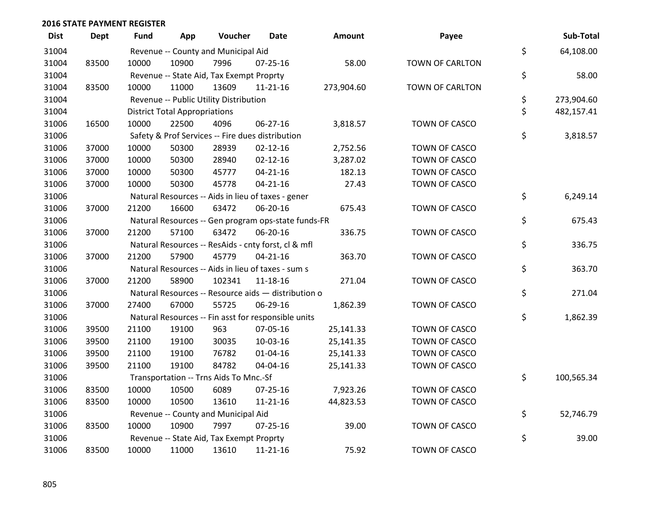| <b>Dist</b> | Dept  | Fund  | App                                  | Voucher                                  | Date                                                | Amount     | Payee                | Sub-Total        |
|-------------|-------|-------|--------------------------------------|------------------------------------------|-----------------------------------------------------|------------|----------------------|------------------|
| 31004       |       |       |                                      | Revenue -- County and Municipal Aid      |                                                     |            |                      | \$<br>64,108.00  |
| 31004       | 83500 | 10000 | 10900                                | 7996                                     | 07-25-16                                            | 58.00      | TOWN OF CARLTON      |                  |
| 31004       |       |       |                                      | Revenue -- State Aid, Tax Exempt Proprty |                                                     |            |                      | \$<br>58.00      |
| 31004       | 83500 | 10000 | 11000                                | 13609                                    | $11 - 21 - 16$                                      | 273,904.60 | TOWN OF CARLTON      |                  |
| 31004       |       |       |                                      | Revenue -- Public Utility Distribution   |                                                     |            |                      | \$<br>273,904.60 |
| 31004       |       |       | <b>District Total Appropriations</b> |                                          |                                                     |            |                      | \$<br>482,157.41 |
| 31006       | 16500 | 10000 | 22500                                | 4096                                     | 06-27-16                                            | 3,818.57   | TOWN OF CASCO        |                  |
| 31006       |       |       |                                      |                                          | Safety & Prof Services -- Fire dues distribution    |            |                      | \$<br>3,818.57   |
| 31006       | 37000 | 10000 | 50300                                | 28939                                    | $02 - 12 - 16$                                      | 2,752.56   | TOWN OF CASCO        |                  |
| 31006       | 37000 | 10000 | 50300                                | 28940                                    | $02 - 12 - 16$                                      | 3,287.02   | TOWN OF CASCO        |                  |
| 31006       | 37000 | 10000 | 50300                                | 45777                                    | $04 - 21 - 16$                                      | 182.13     | TOWN OF CASCO        |                  |
| 31006       | 37000 | 10000 | 50300                                | 45778                                    | $04 - 21 - 16$                                      | 27.43      | TOWN OF CASCO        |                  |
| 31006       |       |       |                                      |                                          | Natural Resources -- Aids in lieu of taxes - gener  |            |                      | \$<br>6,249.14   |
| 31006       | 37000 | 21200 | 16600                                | 63472                                    | 06-20-16                                            | 675.43     | TOWN OF CASCO        |                  |
| 31006       |       |       |                                      |                                          | Natural Resources -- Gen program ops-state funds-FR |            |                      | \$<br>675.43     |
| 31006       | 37000 | 21200 | 57100                                | 63472                                    | 06-20-16                                            | 336.75     | TOWN OF CASCO        |                  |
| 31006       |       |       |                                      |                                          | Natural Resources -- ResAids - cnty forst, cl & mfl |            |                      | \$<br>336.75     |
| 31006       | 37000 | 21200 | 57900                                | 45779                                    | $04 - 21 - 16$                                      | 363.70     | <b>TOWN OF CASCO</b> |                  |
| 31006       |       |       |                                      |                                          | Natural Resources -- Aids in lieu of taxes - sum s  |            |                      | \$<br>363.70     |
| 31006       | 37000 | 21200 | 58900                                | 102341                                   | 11-18-16                                            | 271.04     | TOWN OF CASCO        |                  |
| 31006       |       |       |                                      |                                          | Natural Resources -- Resource aids - distribution o |            |                      | \$<br>271.04     |
| 31006       | 37000 | 27400 | 67000                                | 55725                                    | 06-29-16                                            | 1,862.39   | TOWN OF CASCO        |                  |
| 31006       |       |       |                                      |                                          | Natural Resources -- Fin asst for responsible units |            |                      | \$<br>1,862.39   |
| 31006       | 39500 | 21100 | 19100                                | 963                                      | 07-05-16                                            | 25,141.33  | TOWN OF CASCO        |                  |
| 31006       | 39500 | 21100 | 19100                                | 30035                                    | 10-03-16                                            | 25,141.35  | TOWN OF CASCO        |                  |
| 31006       | 39500 | 21100 | 19100                                | 76782                                    | $01 - 04 - 16$                                      | 25,141.33  | TOWN OF CASCO        |                  |
| 31006       | 39500 | 21100 | 19100                                | 84782                                    | 04-04-16                                            | 25,141.33  | TOWN OF CASCO        |                  |
| 31006       |       |       |                                      | Transportation -- Trns Aids To Mnc.-Sf   |                                                     |            |                      | \$<br>100,565.34 |
| 31006       | 83500 | 10000 | 10500                                | 6089                                     | 07-25-16                                            | 7,923.26   | TOWN OF CASCO        |                  |
| 31006       | 83500 | 10000 | 10500                                | 13610                                    | $11 - 21 - 16$                                      | 44,823.53  | TOWN OF CASCO        |                  |
| 31006       |       |       |                                      | Revenue -- County and Municipal Aid      |                                                     |            |                      | \$<br>52,746.79  |
| 31006       | 83500 | 10000 | 10900                                | 7997                                     | $07 - 25 - 16$                                      | 39.00      | TOWN OF CASCO        |                  |
| 31006       |       |       |                                      | Revenue -- State Aid, Tax Exempt Proprty |                                                     |            |                      | \$<br>39.00      |
| 31006       | 83500 | 10000 | 11000                                | 13610                                    | $11 - 21 - 16$                                      | 75.92      | TOWN OF CASCO        |                  |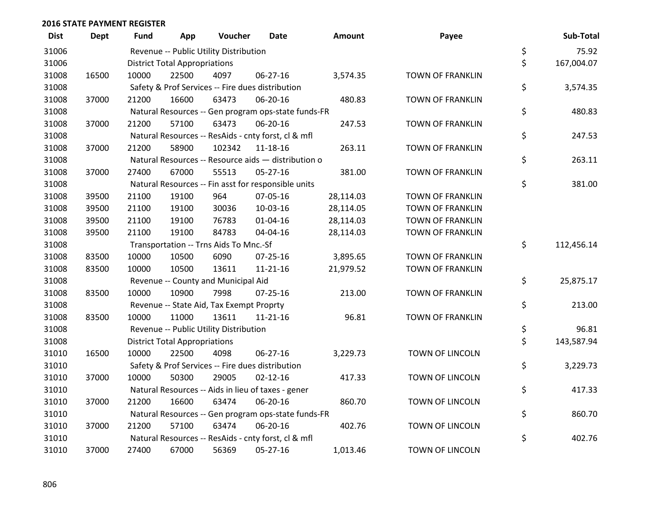| <b>Dist</b> | <b>Dept</b> | Fund  | App                                  | Voucher                                             | Date           | Amount    | Payee                   | Sub-Total        |
|-------------|-------------|-------|--------------------------------------|-----------------------------------------------------|----------------|-----------|-------------------------|------------------|
| 31006       |             |       |                                      | Revenue -- Public Utility Distribution              |                |           |                         | \$<br>75.92      |
| 31006       |             |       | <b>District Total Appropriations</b> |                                                     |                |           |                         | \$<br>167,004.07 |
| 31008       | 16500       | 10000 | 22500                                | 4097                                                | 06-27-16       | 3,574.35  | <b>TOWN OF FRANKLIN</b> |                  |
| 31008       |             |       |                                      | Safety & Prof Services -- Fire dues distribution    |                |           |                         | \$<br>3,574.35   |
| 31008       | 37000       | 21200 | 16600                                | 63473                                               | 06-20-16       | 480.83    | <b>TOWN OF FRANKLIN</b> |                  |
| 31008       |             |       |                                      | Natural Resources -- Gen program ops-state funds-FR |                |           |                         | \$<br>480.83     |
| 31008       | 37000       | 21200 | 57100                                | 63473                                               | 06-20-16       | 247.53    | <b>TOWN OF FRANKLIN</b> |                  |
| 31008       |             |       |                                      | Natural Resources -- ResAids - cnty forst, cl & mfl |                |           |                         | \$<br>247.53     |
| 31008       | 37000       | 21200 | 58900                                | 102342                                              | 11-18-16       | 263.11    | <b>TOWN OF FRANKLIN</b> |                  |
| 31008       |             |       |                                      | Natural Resources -- Resource aids - distribution o |                |           |                         | \$<br>263.11     |
| 31008       | 37000       | 27400 | 67000                                | 55513                                               | $05 - 27 - 16$ | 381.00    | <b>TOWN OF FRANKLIN</b> |                  |
| 31008       |             |       |                                      | Natural Resources -- Fin asst for responsible units |                |           |                         | \$<br>381.00     |
| 31008       | 39500       | 21100 | 19100                                | 964                                                 | 07-05-16       | 28,114.03 | <b>TOWN OF FRANKLIN</b> |                  |
| 31008       | 39500       | 21100 | 19100                                | 30036                                               | 10-03-16       | 28,114.05 | <b>TOWN OF FRANKLIN</b> |                  |
| 31008       | 39500       | 21100 | 19100                                | 76783                                               | $01 - 04 - 16$ | 28,114.03 | <b>TOWN OF FRANKLIN</b> |                  |
| 31008       | 39500       | 21100 | 19100                                | 84783                                               | 04-04-16       | 28,114.03 | <b>TOWN OF FRANKLIN</b> |                  |
| 31008       |             |       |                                      | Transportation -- Trns Aids To Mnc.-Sf              |                |           |                         | \$<br>112,456.14 |
| 31008       | 83500       | 10000 | 10500                                | 6090                                                | 07-25-16       | 3,895.65  | <b>TOWN OF FRANKLIN</b> |                  |
| 31008       | 83500       | 10000 | 10500                                | 13611                                               | $11 - 21 - 16$ | 21,979.52 | <b>TOWN OF FRANKLIN</b> |                  |
| 31008       |             |       |                                      | Revenue -- County and Municipal Aid                 |                |           |                         | \$<br>25,875.17  |
| 31008       | 83500       | 10000 | 10900                                | 7998                                                | $07 - 25 - 16$ | 213.00    | <b>TOWN OF FRANKLIN</b> |                  |
| 31008       |             |       |                                      | Revenue -- State Aid, Tax Exempt Proprty            |                |           |                         | \$<br>213.00     |
| 31008       | 83500       | 10000 | 11000                                | 13611                                               | $11 - 21 - 16$ | 96.81     | <b>TOWN OF FRANKLIN</b> |                  |
| 31008       |             |       |                                      | Revenue -- Public Utility Distribution              |                |           |                         | \$<br>96.81      |
| 31008       |             |       | <b>District Total Appropriations</b> |                                                     |                |           |                         | \$<br>143,587.94 |
| 31010       | 16500       | 10000 | 22500                                | 4098                                                | 06-27-16       | 3,229.73  | TOWN OF LINCOLN         |                  |
| 31010       |             |       |                                      | Safety & Prof Services -- Fire dues distribution    |                |           |                         | \$<br>3,229.73   |
| 31010       | 37000       | 10000 | 50300                                | 29005                                               | $02 - 12 - 16$ | 417.33    | TOWN OF LINCOLN         |                  |
| 31010       |             |       |                                      | Natural Resources -- Aids in lieu of taxes - gener  |                |           |                         | \$<br>417.33     |
| 31010       | 37000       | 21200 | 16600                                | 63474                                               | 06-20-16       | 860.70    | <b>TOWN OF LINCOLN</b>  |                  |
| 31010       |             |       |                                      | Natural Resources -- Gen program ops-state funds-FR |                |           |                         | \$<br>860.70     |
| 31010       | 37000       | 21200 | 57100                                | 63474                                               | 06-20-16       | 402.76    | <b>TOWN OF LINCOLN</b>  |                  |
| 31010       |             |       |                                      | Natural Resources -- ResAids - cnty forst, cl & mfl |                |           |                         | \$<br>402.76     |
| 31010       | 37000       | 27400 | 67000                                | 56369                                               | 05-27-16       | 1,013.46  | <b>TOWN OF LINCOLN</b>  |                  |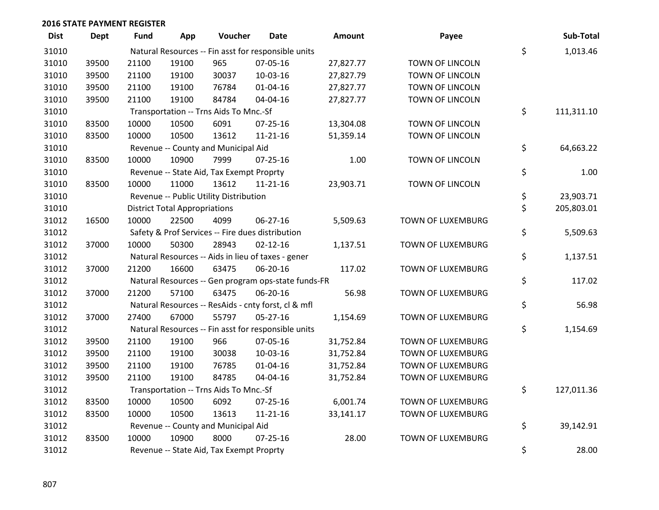| <b>Dist</b> | <b>Dept</b> | <b>Fund</b> | App                                  | Voucher                                  | Date                                                | Amount    | Payee                    | Sub-Total        |
|-------------|-------------|-------------|--------------------------------------|------------------------------------------|-----------------------------------------------------|-----------|--------------------------|------------------|
| 31010       |             |             |                                      |                                          | Natural Resources -- Fin asst for responsible units |           |                          | \$<br>1,013.46   |
| 31010       | 39500       | 21100       | 19100                                | 965                                      | 07-05-16                                            | 27,827.77 | TOWN OF LINCOLN          |                  |
| 31010       | 39500       | 21100       | 19100                                | 30037                                    | 10-03-16                                            | 27,827.79 | TOWN OF LINCOLN          |                  |
| 31010       | 39500       | 21100       | 19100                                | 76784                                    | 01-04-16                                            | 27,827.77 | TOWN OF LINCOLN          |                  |
| 31010       | 39500       | 21100       | 19100                                | 84784                                    | 04-04-16                                            | 27,827.77 | TOWN OF LINCOLN          |                  |
| 31010       |             |             |                                      | Transportation -- Trns Aids To Mnc.-Sf   |                                                     |           |                          | \$<br>111,311.10 |
| 31010       | 83500       | 10000       | 10500                                | 6091                                     | $07 - 25 - 16$                                      | 13,304.08 | TOWN OF LINCOLN          |                  |
| 31010       | 83500       | 10000       | 10500                                | 13612                                    | $11 - 21 - 16$                                      | 51,359.14 | TOWN OF LINCOLN          |                  |
| 31010       |             |             |                                      | Revenue -- County and Municipal Aid      |                                                     |           |                          | \$<br>64,663.22  |
| 31010       | 83500       | 10000       | 10900                                | 7999                                     | $07 - 25 - 16$                                      | 1.00      | TOWN OF LINCOLN          |                  |
| 31010       |             |             |                                      | Revenue -- State Aid, Tax Exempt Proprty |                                                     |           |                          | \$<br>1.00       |
| 31010       | 83500       | 10000       | 11000                                | 13612                                    | $11 - 21 - 16$                                      | 23,903.71 | TOWN OF LINCOLN          |                  |
| 31010       |             |             |                                      | Revenue -- Public Utility Distribution   |                                                     |           |                          | \$<br>23,903.71  |
| 31010       |             |             | <b>District Total Appropriations</b> |                                          |                                                     |           |                          | \$<br>205,803.01 |
| 31012       | 16500       | 10000       | 22500                                | 4099                                     | 06-27-16                                            | 5,509.63  | <b>TOWN OF LUXEMBURG</b> |                  |
| 31012       |             |             |                                      |                                          | Safety & Prof Services -- Fire dues distribution    |           |                          | \$<br>5,509.63   |
| 31012       | 37000       | 10000       | 50300                                | 28943                                    | $02 - 12 - 16$                                      | 1,137.51  | TOWN OF LUXEMBURG        |                  |
| 31012       |             |             |                                      |                                          | Natural Resources -- Aids in lieu of taxes - gener  |           |                          | \$<br>1,137.51   |
| 31012       | 37000       | 21200       | 16600                                | 63475                                    | 06-20-16                                            | 117.02    | TOWN OF LUXEMBURG        |                  |
| 31012       |             |             |                                      |                                          | Natural Resources -- Gen program ops-state funds-FR |           |                          | \$<br>117.02     |
| 31012       | 37000       | 21200       | 57100                                | 63475                                    | 06-20-16                                            | 56.98     | <b>TOWN OF LUXEMBURG</b> |                  |
| 31012       |             |             |                                      |                                          | Natural Resources -- ResAids - cnty forst, cl & mfl |           |                          | \$<br>56.98      |
| 31012       | 37000       | 27400       | 67000                                | 55797                                    | $05 - 27 - 16$                                      | 1,154.69  | <b>TOWN OF LUXEMBURG</b> |                  |
| 31012       |             |             |                                      |                                          | Natural Resources -- Fin asst for responsible units |           |                          | \$<br>1,154.69   |
| 31012       | 39500       | 21100       | 19100                                | 966                                      | 07-05-16                                            | 31,752.84 | TOWN OF LUXEMBURG        |                  |
| 31012       | 39500       | 21100       | 19100                                | 30038                                    | 10-03-16                                            | 31,752.84 | TOWN OF LUXEMBURG        |                  |
| 31012       | 39500       | 21100       | 19100                                | 76785                                    | $01 - 04 - 16$                                      | 31,752.84 | <b>TOWN OF LUXEMBURG</b> |                  |
| 31012       | 39500       | 21100       | 19100                                | 84785                                    | 04-04-16                                            | 31,752.84 | <b>TOWN OF LUXEMBURG</b> |                  |
| 31012       |             |             |                                      | Transportation -- Trns Aids To Mnc.-Sf   |                                                     |           |                          | \$<br>127,011.36 |
| 31012       | 83500       | 10000       | 10500                                | 6092                                     | $07 - 25 - 16$                                      | 6,001.74  | TOWN OF LUXEMBURG        |                  |
| 31012       | 83500       | 10000       | 10500                                | 13613                                    | $11 - 21 - 16$                                      | 33,141.17 | TOWN OF LUXEMBURG        |                  |
| 31012       |             |             |                                      | Revenue -- County and Municipal Aid      |                                                     |           |                          | \$<br>39,142.91  |
| 31012       | 83500       | 10000       | 10900                                | 8000                                     | $07 - 25 - 16$                                      | 28.00     | <b>TOWN OF LUXEMBURG</b> |                  |
| 31012       |             |             |                                      | Revenue -- State Aid, Tax Exempt Proprty |                                                     |           |                          | \$<br>28.00      |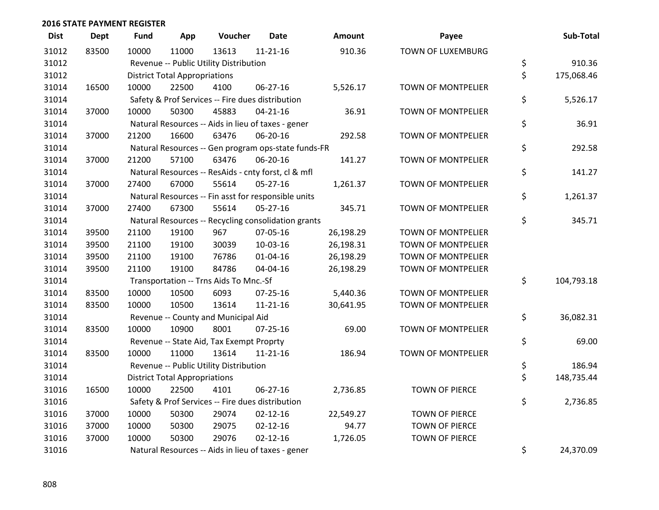| <b>Dist</b> | <b>Dept</b> | Fund  | App                                  | Voucher                                             | <b>Date</b>    | <b>Amount</b> | Payee                     | Sub-Total        |
|-------------|-------------|-------|--------------------------------------|-----------------------------------------------------|----------------|---------------|---------------------------|------------------|
| 31012       | 83500       | 10000 | 11000                                | 13613                                               | $11 - 21 - 16$ | 910.36        | TOWN OF LUXEMBURG         |                  |
| 31012       |             |       |                                      | Revenue -- Public Utility Distribution              |                |               |                           | \$<br>910.36     |
| 31012       |             |       | <b>District Total Appropriations</b> |                                                     |                |               |                           | \$<br>175,068.46 |
| 31014       | 16500       | 10000 | 22500                                | 4100                                                | 06-27-16       | 5,526.17      | <b>TOWN OF MONTPELIER</b> |                  |
| 31014       |             |       |                                      | Safety & Prof Services -- Fire dues distribution    |                |               |                           | \$<br>5,526.17   |
| 31014       | 37000       | 10000 | 50300                                | 45883                                               | $04 - 21 - 16$ | 36.91         | <b>TOWN OF MONTPELIER</b> |                  |
| 31014       |             |       |                                      | Natural Resources -- Aids in lieu of taxes - gener  |                |               |                           | \$<br>36.91      |
| 31014       | 37000       | 21200 | 16600                                | 63476                                               | 06-20-16       | 292.58        | <b>TOWN OF MONTPELIER</b> |                  |
| 31014       |             |       |                                      | Natural Resources -- Gen program ops-state funds-FR |                |               |                           | \$<br>292.58     |
| 31014       | 37000       | 21200 | 57100                                | 63476                                               | 06-20-16       | 141.27        | <b>TOWN OF MONTPELIER</b> |                  |
| 31014       |             |       |                                      | Natural Resources -- ResAids - cnty forst, cl & mfl |                |               |                           | \$<br>141.27     |
| 31014       | 37000       | 27400 | 67000                                | 55614                                               | 05-27-16       | 1,261.37      | <b>TOWN OF MONTPELIER</b> |                  |
| 31014       |             |       |                                      | Natural Resources -- Fin asst for responsible units |                |               |                           | \$<br>1,261.37   |
| 31014       | 37000       | 27400 | 67300                                | 55614                                               | 05-27-16       | 345.71        | <b>TOWN OF MONTPELIER</b> |                  |
| 31014       |             |       |                                      | Natural Resources -- Recycling consolidation grants |                |               |                           | \$<br>345.71     |
| 31014       | 39500       | 21100 | 19100                                | 967                                                 | 07-05-16       | 26,198.29     | <b>TOWN OF MONTPELIER</b> |                  |
| 31014       | 39500       | 21100 | 19100                                | 30039                                               | 10-03-16       | 26,198.31     | <b>TOWN OF MONTPELIER</b> |                  |
| 31014       | 39500       | 21100 | 19100                                | 76786                                               | $01 - 04 - 16$ | 26,198.29     | <b>TOWN OF MONTPELIER</b> |                  |
| 31014       | 39500       | 21100 | 19100                                | 84786                                               | 04-04-16       | 26,198.29     | <b>TOWN OF MONTPELIER</b> |                  |
| 31014       |             |       |                                      | Transportation -- Trns Aids To Mnc.-Sf              |                |               |                           | \$<br>104,793.18 |
| 31014       | 83500       | 10000 | 10500                                | 6093                                                | $07 - 25 - 16$ | 5,440.36      | <b>TOWN OF MONTPELIER</b> |                  |
| 31014       | 83500       | 10000 | 10500                                | 13614                                               | $11 - 21 - 16$ | 30,641.95     | <b>TOWN OF MONTPELIER</b> |                  |
| 31014       |             |       |                                      | Revenue -- County and Municipal Aid                 |                |               |                           | \$<br>36,082.31  |
| 31014       | 83500       | 10000 | 10900                                | 8001                                                | $07 - 25 - 16$ | 69.00         | TOWN OF MONTPELIER        |                  |
| 31014       |             |       |                                      | Revenue -- State Aid, Tax Exempt Proprty            |                |               |                           | \$<br>69.00      |
| 31014       | 83500       | 10000 | 11000                                | 13614                                               | $11 - 21 - 16$ | 186.94        | TOWN OF MONTPELIER        |                  |
| 31014       |             |       |                                      | Revenue -- Public Utility Distribution              |                |               |                           | \$<br>186.94     |
| 31014       |             |       | <b>District Total Appropriations</b> |                                                     |                |               |                           | \$<br>148,735.44 |
| 31016       | 16500       | 10000 | 22500                                | 4101                                                | 06-27-16       | 2,736.85      | TOWN OF PIERCE            |                  |
| 31016       |             |       |                                      | Safety & Prof Services -- Fire dues distribution    |                |               |                           | \$<br>2,736.85   |
| 31016       | 37000       | 10000 | 50300                                | 29074                                               | $02 - 12 - 16$ | 22,549.27     | <b>TOWN OF PIERCE</b>     |                  |
| 31016       | 37000       | 10000 | 50300                                | 29075                                               | $02 - 12 - 16$ | 94.77         | <b>TOWN OF PIERCE</b>     |                  |
| 31016       | 37000       | 10000 | 50300                                | 29076                                               | $02 - 12 - 16$ | 1,726.05      | <b>TOWN OF PIERCE</b>     |                  |
| 31016       |             |       |                                      | Natural Resources -- Aids in lieu of taxes - gener  |                |               |                           | \$<br>24,370.09  |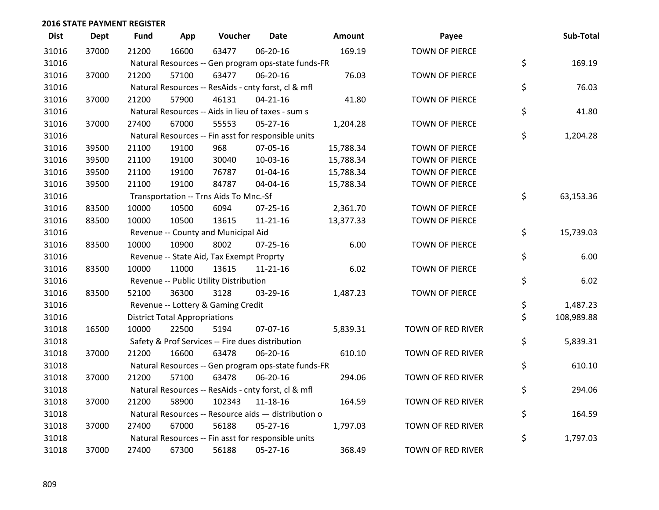| <b>Dist</b> | <b>Dept</b> | <b>Fund</b> | App                                  | Voucher                                             | <b>Date</b>    | Amount    | Payee                    | Sub-Total        |
|-------------|-------------|-------------|--------------------------------------|-----------------------------------------------------|----------------|-----------|--------------------------|------------------|
| 31016       | 37000       | 21200       | 16600                                | 63477                                               | 06-20-16       | 169.19    | <b>TOWN OF PIERCE</b>    |                  |
| 31016       |             |             |                                      | Natural Resources -- Gen program ops-state funds-FR |                |           |                          | \$<br>169.19     |
| 31016       | 37000       | 21200       | 57100                                | 63477                                               | 06-20-16       | 76.03     | <b>TOWN OF PIERCE</b>    |                  |
| 31016       |             |             |                                      | Natural Resources -- ResAids - cnty forst, cl & mfl |                |           |                          | \$<br>76.03      |
| 31016       | 37000       | 21200       | 57900                                | 46131                                               | $04 - 21 - 16$ | 41.80     | <b>TOWN OF PIERCE</b>    |                  |
| 31016       |             |             |                                      | Natural Resources -- Aids in lieu of taxes - sum s  |                |           |                          | \$<br>41.80      |
| 31016       | 37000       | 27400       | 67000                                | 55553                                               | $05 - 27 - 16$ | 1,204.28  | <b>TOWN OF PIERCE</b>    |                  |
| 31016       |             |             |                                      | Natural Resources -- Fin asst for responsible units |                |           |                          | \$<br>1,204.28   |
| 31016       | 39500       | 21100       | 19100                                | 968                                                 | 07-05-16       | 15,788.34 | TOWN OF PIERCE           |                  |
| 31016       | 39500       | 21100       | 19100                                | 30040                                               | 10-03-16       | 15,788.34 | TOWN OF PIERCE           |                  |
| 31016       | 39500       | 21100       | 19100                                | 76787                                               | $01 - 04 - 16$ | 15,788.34 | <b>TOWN OF PIERCE</b>    |                  |
| 31016       | 39500       | 21100       | 19100                                | 84787                                               | 04-04-16       | 15,788.34 | TOWN OF PIERCE           |                  |
| 31016       |             |             |                                      | Transportation -- Trns Aids To Mnc.-Sf              |                |           |                          | \$<br>63,153.36  |
| 31016       | 83500       | 10000       | 10500                                | 6094                                                | 07-25-16       | 2,361.70  | TOWN OF PIERCE           |                  |
| 31016       | 83500       | 10000       | 10500                                | 13615                                               | $11 - 21 - 16$ | 13,377.33 | TOWN OF PIERCE           |                  |
| 31016       |             |             |                                      | Revenue -- County and Municipal Aid                 |                |           |                          | \$<br>15,739.03  |
| 31016       | 83500       | 10000       | 10900                                | 8002                                                | $07 - 25 - 16$ | 6.00      | <b>TOWN OF PIERCE</b>    |                  |
| 31016       |             |             |                                      | Revenue -- State Aid, Tax Exempt Proprty            |                |           |                          | \$<br>6.00       |
| 31016       | 83500       | 10000       | 11000                                | 13615                                               | $11 - 21 - 16$ | 6.02      | <b>TOWN OF PIERCE</b>    |                  |
| 31016       |             |             |                                      | Revenue -- Public Utility Distribution              |                |           |                          | \$<br>6.02       |
| 31016       | 83500       | 52100       | 36300                                | 3128                                                | 03-29-16       | 1,487.23  | TOWN OF PIERCE           |                  |
| 31016       |             |             |                                      | Revenue -- Lottery & Gaming Credit                  |                |           |                          | \$<br>1,487.23   |
| 31016       |             |             | <b>District Total Appropriations</b> |                                                     |                |           |                          | \$<br>108,989.88 |
| 31018       | 16500       | 10000       | 22500                                | 5194                                                | 07-07-16       | 5,839.31  | <b>TOWN OF RED RIVER</b> |                  |
| 31018       |             |             |                                      | Safety & Prof Services -- Fire dues distribution    |                |           |                          | \$<br>5,839.31   |
| 31018       | 37000       | 21200       | 16600                                | 63478                                               | 06-20-16       | 610.10    | TOWN OF RED RIVER        |                  |
| 31018       |             |             |                                      | Natural Resources -- Gen program ops-state funds-FR |                |           |                          | \$<br>610.10     |
| 31018       | 37000       | 21200       | 57100                                | 63478                                               | 06-20-16       | 294.06    | TOWN OF RED RIVER        |                  |
| 31018       |             |             |                                      | Natural Resources -- ResAids - cnty forst, cl & mfl |                |           |                          | \$<br>294.06     |
| 31018       | 37000       | 21200       | 58900                                | 102343                                              | $11 - 18 - 16$ | 164.59    | TOWN OF RED RIVER        |                  |
| 31018       |             |             |                                      | Natural Resources -- Resource aids - distribution o |                |           |                          | \$<br>164.59     |
| 31018       | 37000       | 27400       | 67000                                | 56188                                               | $05 - 27 - 16$ | 1,797.03  | TOWN OF RED RIVER        |                  |
| 31018       |             |             |                                      | Natural Resources -- Fin asst for responsible units |                |           |                          | \$<br>1,797.03   |
| 31018       | 37000       | 27400       | 67300                                | 56188                                               | 05-27-16       | 368.49    | TOWN OF RED RIVER        |                  |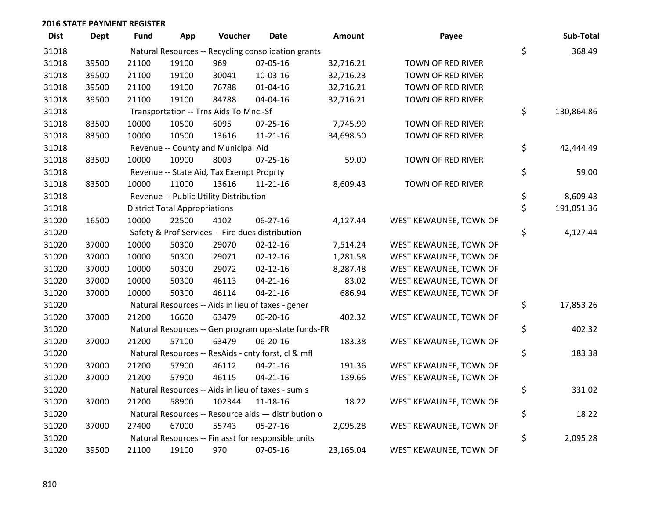| <b>Dist</b> | Dept  | Fund  | App                                  | Voucher                                             | <b>Date</b>    | Amount    | Payee                  | Sub-Total        |
|-------------|-------|-------|--------------------------------------|-----------------------------------------------------|----------------|-----------|------------------------|------------------|
| 31018       |       |       |                                      | Natural Resources -- Recycling consolidation grants |                |           |                        | \$<br>368.49     |
| 31018       | 39500 | 21100 | 19100                                | 969                                                 | 07-05-16       | 32,716.21 | TOWN OF RED RIVER      |                  |
| 31018       | 39500 | 21100 | 19100                                | 30041                                               | 10-03-16       | 32,716.23 | TOWN OF RED RIVER      |                  |
| 31018       | 39500 | 21100 | 19100                                | 76788                                               | $01 - 04 - 16$ | 32,716.21 | TOWN OF RED RIVER      |                  |
| 31018       | 39500 | 21100 | 19100                                | 84788                                               | 04-04-16       | 32,716.21 | TOWN OF RED RIVER      |                  |
| 31018       |       |       |                                      | Transportation -- Trns Aids To Mnc.-Sf              |                |           |                        | \$<br>130,864.86 |
| 31018       | 83500 | 10000 | 10500                                | 6095                                                | $07 - 25 - 16$ | 7,745.99  | TOWN OF RED RIVER      |                  |
| 31018       | 83500 | 10000 | 10500                                | 13616                                               | $11 - 21 - 16$ | 34,698.50 | TOWN OF RED RIVER      |                  |
| 31018       |       |       |                                      | Revenue -- County and Municipal Aid                 |                |           |                        | \$<br>42,444.49  |
| 31018       | 83500 | 10000 | 10900                                | 8003                                                | 07-25-16       | 59.00     | TOWN OF RED RIVER      |                  |
| 31018       |       |       |                                      | Revenue -- State Aid, Tax Exempt Proprty            |                |           |                        | \$<br>59.00      |
| 31018       | 83500 | 10000 | 11000                                | 13616                                               | $11 - 21 - 16$ | 8,609.43  | TOWN OF RED RIVER      |                  |
| 31018       |       |       |                                      | Revenue -- Public Utility Distribution              |                |           |                        | \$<br>8,609.43   |
| 31018       |       |       | <b>District Total Appropriations</b> |                                                     |                |           |                        | \$<br>191,051.36 |
| 31020       | 16500 | 10000 | 22500                                | 4102                                                | 06-27-16       | 4,127.44  | WEST KEWAUNEE, TOWN OF |                  |
| 31020       |       |       |                                      | Safety & Prof Services -- Fire dues distribution    |                |           |                        | \$<br>4,127.44   |
| 31020       | 37000 | 10000 | 50300                                | 29070                                               | $02 - 12 - 16$ | 7,514.24  | WEST KEWAUNEE, TOWN OF |                  |
| 31020       | 37000 | 10000 | 50300                                | 29071                                               | $02 - 12 - 16$ | 1,281.58  | WEST KEWAUNEE, TOWN OF |                  |
| 31020       | 37000 | 10000 | 50300                                | 29072                                               | $02 - 12 - 16$ | 8,287.48  | WEST KEWAUNEE, TOWN OF |                  |
| 31020       | 37000 | 10000 | 50300                                | 46113                                               | $04 - 21 - 16$ | 83.02     | WEST KEWAUNEE, TOWN OF |                  |
| 31020       | 37000 | 10000 | 50300                                | 46114                                               | $04 - 21 - 16$ | 686.94    | WEST KEWAUNEE, TOWN OF |                  |
| 31020       |       |       |                                      | Natural Resources -- Aids in lieu of taxes - gener  |                |           |                        | \$<br>17,853.26  |
| 31020       | 37000 | 21200 | 16600                                | 63479                                               | 06-20-16       | 402.32    | WEST KEWAUNEE, TOWN OF |                  |
| 31020       |       |       |                                      | Natural Resources -- Gen program ops-state funds-FR |                |           |                        | \$<br>402.32     |
| 31020       | 37000 | 21200 | 57100                                | 63479                                               | 06-20-16       | 183.38    | WEST KEWAUNEE, TOWN OF |                  |
| 31020       |       |       |                                      | Natural Resources -- ResAids - cnty forst, cl & mfl |                |           |                        | \$<br>183.38     |
| 31020       | 37000 | 21200 | 57900                                | 46112                                               | 04-21-16       | 191.36    | WEST KEWAUNEE, TOWN OF |                  |
| 31020       | 37000 | 21200 | 57900                                | 46115                                               | $04 - 21 - 16$ | 139.66    | WEST KEWAUNEE, TOWN OF |                  |
| 31020       |       |       |                                      | Natural Resources -- Aids in lieu of taxes - sum s  |                |           |                        | \$<br>331.02     |
| 31020       | 37000 | 21200 | 58900                                | 102344                                              | 11-18-16       | 18.22     | WEST KEWAUNEE, TOWN OF |                  |
| 31020       |       |       |                                      | Natural Resources -- Resource aids - distribution o |                |           |                        | \$<br>18.22      |
| 31020       | 37000 | 27400 | 67000                                | 55743                                               | $05 - 27 - 16$ | 2,095.28  | WEST KEWAUNEE, TOWN OF |                  |
| 31020       |       |       |                                      | Natural Resources -- Fin asst for responsible units |                |           |                        | \$<br>2,095.28   |
| 31020       | 39500 | 21100 | 19100                                | 970                                                 | 07-05-16       | 23,165.04 | WEST KEWAUNEE, TOWN OF |                  |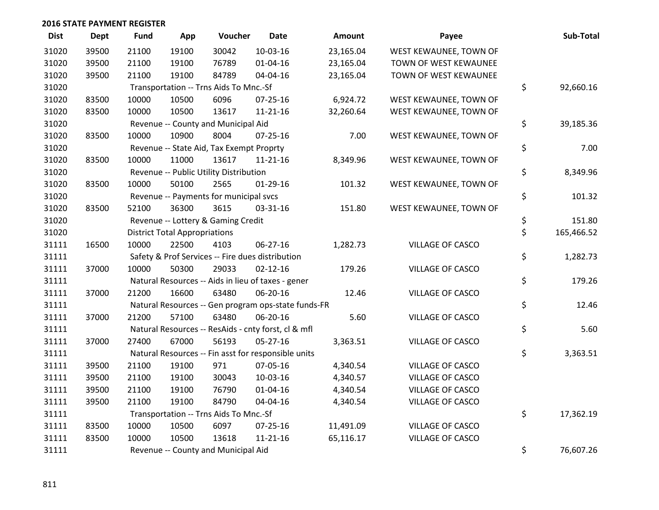| <b>Dist</b> | <b>Dept</b> | <b>Fund</b> | App                                  | Voucher                                  | <b>Date</b>                                         | <b>Amount</b> | Payee                   | Sub-Total        |
|-------------|-------------|-------------|--------------------------------------|------------------------------------------|-----------------------------------------------------|---------------|-------------------------|------------------|
| 31020       | 39500       | 21100       | 19100                                | 30042                                    | 10-03-16                                            | 23,165.04     | WEST KEWAUNEE, TOWN OF  |                  |
| 31020       | 39500       | 21100       | 19100                                | 76789                                    | $01 - 04 - 16$                                      | 23,165.04     | TOWN OF WEST KEWAUNEE   |                  |
| 31020       | 39500       | 21100       | 19100                                | 84789                                    | 04-04-16                                            | 23,165.04     | TOWN OF WEST KEWAUNEE   |                  |
| 31020       |             |             |                                      | Transportation -- Trns Aids To Mnc.-Sf   |                                                     |               |                         | \$<br>92,660.16  |
| 31020       | 83500       | 10000       | 10500                                | 6096                                     | $07 - 25 - 16$                                      | 6,924.72      | WEST KEWAUNEE, TOWN OF  |                  |
| 31020       | 83500       | 10000       | 10500                                | 13617                                    | $11 - 21 - 16$                                      | 32,260.64     | WEST KEWAUNEE, TOWN OF  |                  |
| 31020       |             |             |                                      | Revenue -- County and Municipal Aid      |                                                     |               |                         | \$<br>39,185.36  |
| 31020       | 83500       | 10000       | 10900                                | 8004                                     | $07 - 25 - 16$                                      | 7.00          | WEST KEWAUNEE, TOWN OF  |                  |
| 31020       |             |             |                                      | Revenue -- State Aid, Tax Exempt Proprty |                                                     |               |                         | \$<br>7.00       |
| 31020       | 83500       | 10000       | 11000                                | 13617                                    | $11 - 21 - 16$                                      | 8,349.96      | WEST KEWAUNEE, TOWN OF  |                  |
| 31020       |             |             |                                      | Revenue -- Public Utility Distribution   |                                                     |               |                         | \$<br>8,349.96   |
| 31020       | 83500       | 10000       | 50100                                | 2565                                     | $01-29-16$                                          | 101.32        | WEST KEWAUNEE, TOWN OF  |                  |
| 31020       |             |             |                                      | Revenue -- Payments for municipal svcs   |                                                     |               |                         | \$<br>101.32     |
| 31020       | 83500       | 52100       | 36300                                | 3615                                     | 03-31-16                                            | 151.80        | WEST KEWAUNEE, TOWN OF  |                  |
| 31020       |             |             |                                      | Revenue -- Lottery & Gaming Credit       |                                                     |               |                         | \$<br>151.80     |
| 31020       |             |             | <b>District Total Appropriations</b> |                                          |                                                     |               |                         | \$<br>165,466.52 |
| 31111       | 16500       | 10000       | 22500                                | 4103                                     | 06-27-16                                            | 1,282.73      | VILLAGE OF CASCO        |                  |
| 31111       |             |             |                                      |                                          | Safety & Prof Services -- Fire dues distribution    |               |                         | \$<br>1,282.73   |
| 31111       | 37000       | 10000       | 50300                                | 29033                                    | $02 - 12 - 16$                                      | 179.26        | VILLAGE OF CASCO        |                  |
| 31111       |             |             |                                      |                                          | Natural Resources -- Aids in lieu of taxes - gener  |               |                         | \$<br>179.26     |
| 31111       | 37000       | 21200       | 16600                                | 63480                                    | 06-20-16                                            | 12.46         | VILLAGE OF CASCO        |                  |
| 31111       |             |             |                                      |                                          | Natural Resources -- Gen program ops-state funds-FR |               |                         | \$<br>12.46      |
| 31111       | 37000       | 21200       | 57100                                | 63480                                    | 06-20-16                                            | 5.60          | VILLAGE OF CASCO        |                  |
| 31111       |             |             |                                      |                                          | Natural Resources -- ResAids - cnty forst, cl & mfl |               |                         | \$<br>5.60       |
| 31111       | 37000       | 27400       | 67000                                | 56193                                    | $05 - 27 - 16$                                      | 3,363.51      | VILLAGE OF CASCO        |                  |
| 31111       |             |             |                                      |                                          | Natural Resources -- Fin asst for responsible units |               |                         | \$<br>3,363.51   |
| 31111       | 39500       | 21100       | 19100                                | 971                                      | 07-05-16                                            | 4,340.54      | <b>VILLAGE OF CASCO</b> |                  |
| 31111       | 39500       | 21100       | 19100                                | 30043                                    | 10-03-16                                            | 4,340.57      | <b>VILLAGE OF CASCO</b> |                  |
| 31111       | 39500       | 21100       | 19100                                | 76790                                    | $01 - 04 - 16$                                      | 4,340.54      | <b>VILLAGE OF CASCO</b> |                  |
| 31111       | 39500       | 21100       | 19100                                | 84790                                    | 04-04-16                                            | 4,340.54      | VILLAGE OF CASCO        |                  |
| 31111       |             |             |                                      | Transportation -- Trns Aids To Mnc.-Sf   |                                                     |               |                         | \$<br>17,362.19  |
| 31111       | 83500       | 10000       | 10500                                | 6097                                     | 07-25-16                                            | 11,491.09     | <b>VILLAGE OF CASCO</b> |                  |
| 31111       | 83500       | 10000       | 10500                                | 13618                                    | $11 - 21 - 16$                                      | 65,116.17     | <b>VILLAGE OF CASCO</b> |                  |
| 31111       |             |             |                                      | Revenue -- County and Municipal Aid      |                                                     |               |                         | \$<br>76,607.26  |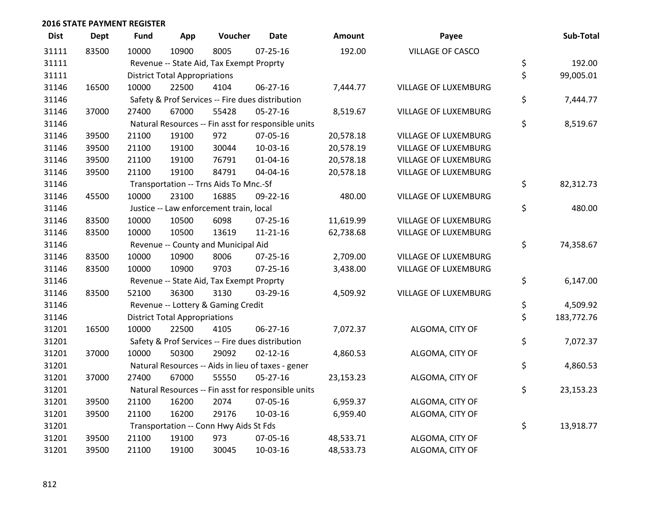| <b>Dist</b> | <b>Dept</b> | <b>Fund</b>                          | App                                                 | Voucher                                          | <b>Date</b>                                         | <b>Amount</b> | Payee                       |    | Sub-Total  |
|-------------|-------------|--------------------------------------|-----------------------------------------------------|--------------------------------------------------|-----------------------------------------------------|---------------|-----------------------------|----|------------|
| 31111       | 83500       | 10000                                | 10900                                               | 8005                                             | $07 - 25 - 16$                                      | 192.00        | <b>VILLAGE OF CASCO</b>     |    |            |
| 31111       |             |                                      |                                                     | Revenue -- State Aid, Tax Exempt Proprty         |                                                     |               |                             | \$ | 192.00     |
| 31111       |             |                                      | <b>District Total Appropriations</b>                |                                                  |                                                     |               |                             | \$ | 99,005.01  |
| 31146       | 16500       | 10000                                | 22500                                               | 4104                                             | 06-27-16                                            | 7,444.77      | VILLAGE OF LUXEMBURG        |    |            |
| 31146       |             |                                      | Safety & Prof Services -- Fire dues distribution    |                                                  |                                                     |               |                             |    | 7,444.77   |
| 31146       | 37000       | 27400                                | 67000                                               | 55428                                            | 05-27-16                                            | 8,519.67      | <b>VILLAGE OF LUXEMBURG</b> |    |            |
| 31146       |             |                                      | Natural Resources -- Fin asst for responsible units |                                                  |                                                     |               |                             |    |            |
| 31146       | 39500       | 21100                                | 19100                                               | 972                                              | 07-05-16                                            | 20,578.18     | VILLAGE OF LUXEMBURG        |    |            |
| 31146       | 39500       | 21100                                | 19100                                               | 30044                                            | 10-03-16                                            | 20,578.19     | VILLAGE OF LUXEMBURG        |    |            |
| 31146       | 39500       | 21100                                | 19100                                               | 76791                                            | 01-04-16                                            | 20,578.18     | VILLAGE OF LUXEMBURG        |    |            |
| 31146       | 39500       | 21100                                | 19100                                               | 84791                                            | 04-04-16                                            | 20,578.18     | VILLAGE OF LUXEMBURG        |    |            |
| 31146       |             |                                      |                                                     | Transportation -- Trns Aids To Mnc.-Sf           |                                                     |               |                             | \$ | 82,312.73  |
| 31146       | 45500       | 10000                                | 23100                                               | 16885                                            | 09-22-16                                            | 480.00        | VILLAGE OF LUXEMBURG        |    |            |
| 31146       |             |                                      |                                                     | Justice -- Law enforcement train, local          |                                                     |               |                             | \$ | 480.00     |
| 31146       | 83500       | 10000                                | 10500                                               | 6098                                             | 07-25-16                                            | 11,619.99     | VILLAGE OF LUXEMBURG        |    |            |
| 31146       | 83500       | 10000                                | 10500                                               | 13619                                            | $11 - 21 - 16$                                      | 62,738.68     | VILLAGE OF LUXEMBURG        |    |            |
| 31146       |             |                                      |                                                     | Revenue -- County and Municipal Aid              |                                                     |               |                             | \$ | 74,358.67  |
| 31146       | 83500       | 10000                                | 10900                                               | 8006                                             | 07-25-16                                            | 2,709.00      | VILLAGE OF LUXEMBURG        |    |            |
| 31146       | 83500       | 10000                                | 10900                                               | 9703                                             | $07 - 25 - 16$                                      | 3,438.00      | VILLAGE OF LUXEMBURG        |    |            |
| 31146       |             |                                      |                                                     | Revenue -- State Aid, Tax Exempt Proprty         |                                                     |               |                             | \$ | 6,147.00   |
| 31146       | 83500       | 52100                                | 36300                                               | 3130                                             | 03-29-16                                            | 4,509.92      | VILLAGE OF LUXEMBURG        |    |            |
| 31146       |             |                                      |                                                     | Revenue -- Lottery & Gaming Credit               |                                                     |               |                             | \$ | 4,509.92   |
| 31146       |             | <b>District Total Appropriations</b> |                                                     |                                                  |                                                     |               |                             | \$ | 183,772.76 |
| 31201       | 16500       | 10000                                | 22500                                               | 4105                                             | 06-27-16                                            | 7,072.37      | ALGOMA, CITY OF             |    |            |
| 31201       |             |                                      |                                                     | Safety & Prof Services -- Fire dues distribution |                                                     |               |                             | \$ | 7,072.37   |
| 31201       | 37000       | 10000                                | 50300                                               | 29092                                            | $02 - 12 - 16$                                      | 4,860.53      | ALGOMA, CITY OF             |    |            |
| 31201       |             |                                      |                                                     |                                                  | Natural Resources -- Aids in lieu of taxes - gener  |               |                             | \$ | 4,860.53   |
| 31201       | 37000       | 27400                                | 67000                                               | 55550                                            | $05-27-16$                                          | 23,153.23     | ALGOMA, CITY OF             |    |            |
| 31201       |             |                                      |                                                     |                                                  | Natural Resources -- Fin asst for responsible units |               |                             | \$ | 23,153.23  |
| 31201       | 39500       | 21100                                | 16200                                               | 2074                                             | 07-05-16                                            | 6,959.37      | ALGOMA, CITY OF             |    |            |
| 31201       | 39500       | 21100                                | 16200                                               | 29176                                            | 10-03-16                                            | 6,959.40      | ALGOMA, CITY OF             |    |            |
| 31201       |             |                                      |                                                     | Transportation -- Conn Hwy Aids St Fds           |                                                     |               |                             | \$ | 13,918.77  |
| 31201       | 39500       | 21100                                | 19100                                               | 973                                              | 07-05-16                                            | 48,533.71     | ALGOMA, CITY OF             |    |            |
| 31201       | 39500       | 21100                                | 19100                                               | 30045                                            | 10-03-16                                            | 48,533.73     | ALGOMA, CITY OF             |    |            |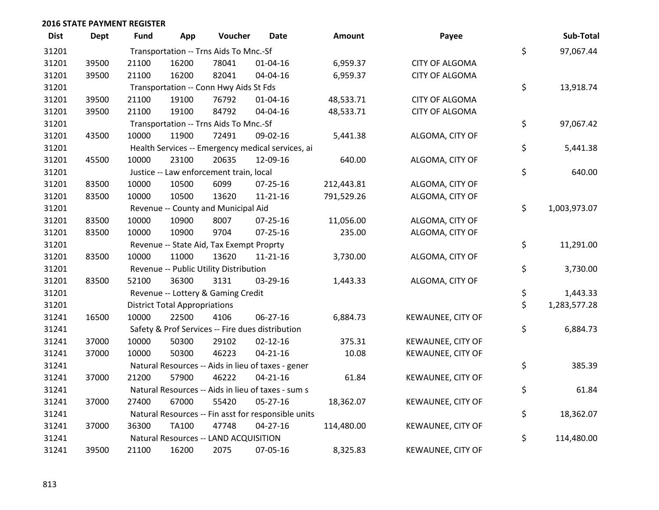| <b>Dist</b> | <b>Dept</b> | <b>Fund</b>                                         | App                                    | Voucher                                  | <b>Date</b>                                        | Amount     | Payee                 |    | Sub-Total    |
|-------------|-------------|-----------------------------------------------------|----------------------------------------|------------------------------------------|----------------------------------------------------|------------|-----------------------|----|--------------|
| 31201       |             | Transportation -- Trns Aids To Mnc.-Sf              |                                        |                                          |                                                    |            |                       | \$ | 97,067.44    |
| 31201       | 39500       | 21100                                               | 16200                                  | 78041                                    | 01-04-16                                           | 6,959.37   | <b>CITY OF ALGOMA</b> |    |              |
| 31201       | 39500       | 21100                                               | 16200                                  | 82041                                    | 04-04-16                                           | 6,959.37   | <b>CITY OF ALGOMA</b> |    |              |
| 31201       |             |                                                     | Transportation -- Conn Hwy Aids St Fds |                                          |                                                    |            |                       |    | 13,918.74    |
| 31201       | 39500       | 21100                                               | 19100                                  | 76792                                    | 01-04-16                                           | 48,533.71  | <b>CITY OF ALGOMA</b> |    |              |
| 31201       | 39500       | 21100                                               | 19100                                  | 84792                                    | 04-04-16                                           | 48,533.71  | <b>CITY OF ALGOMA</b> |    |              |
| 31201       |             |                                                     |                                        | Transportation -- Trns Aids To Mnc.-Sf   |                                                    |            |                       | \$ | 97,067.42    |
| 31201       | 43500       | 10000                                               | 11900                                  | 72491                                    | 09-02-16                                           | 5,441.38   | ALGOMA, CITY OF       |    |              |
| 31201       |             |                                                     |                                        |                                          | Health Services -- Emergency medical services, ai  |            |                       | \$ | 5,441.38     |
| 31201       | 45500       | 10000                                               | 23100                                  | 20635                                    | 12-09-16                                           | 640.00     | ALGOMA, CITY OF       |    |              |
| 31201       |             |                                                     |                                        | Justice -- Law enforcement train, local  |                                                    |            |                       | \$ | 640.00       |
| 31201       | 83500       | 10000                                               | 10500                                  | 6099                                     | 07-25-16                                           | 212,443.81 | ALGOMA, CITY OF       |    |              |
| 31201       | 83500       | 10000                                               | 10500                                  | 13620                                    | 11-21-16                                           | 791,529.26 | ALGOMA, CITY OF       |    |              |
| 31201       |             |                                                     |                                        | Revenue -- County and Municipal Aid      |                                                    |            |                       | \$ | 1,003,973.07 |
| 31201       | 83500       | 10000                                               | 10900                                  | 8007                                     | 07-25-16                                           | 11,056.00  | ALGOMA, CITY OF       |    |              |
| 31201       | 83500       | 10000                                               | 10900                                  | 9704                                     | $07 - 25 - 16$                                     | 235.00     | ALGOMA, CITY OF       |    |              |
| 31201       |             |                                                     |                                        | Revenue -- State Aid, Tax Exempt Proprty |                                                    |            |                       | \$ | 11,291.00    |
| 31201       | 83500       | 10000                                               | 11000                                  | 13620                                    | 11-21-16                                           | 3,730.00   | ALGOMA, CITY OF       |    |              |
| 31201       |             |                                                     |                                        | Revenue -- Public Utility Distribution   |                                                    |            |                       | \$ | 3,730.00     |
| 31201       | 83500       | 52100                                               | 36300                                  | 3131                                     | 03-29-16                                           | 1,443.33   | ALGOMA, CITY OF       |    |              |
| 31201       |             |                                                     |                                        | Revenue -- Lottery & Gaming Credit       |                                                    |            |                       | \$ | 1,443.33     |
| 31201       |             |                                                     | <b>District Total Appropriations</b>   |                                          |                                                    |            |                       | \$ | 1,283,577.28 |
| 31241       | 16500       | 10000                                               | 22500                                  | 4106                                     | 06-27-16                                           | 6,884.73   | KEWAUNEE, CITY OF     |    |              |
| 31241       |             |                                                     |                                        |                                          | Safety & Prof Services -- Fire dues distribution   |            |                       | \$ | 6,884.73     |
| 31241       | 37000       | 10000                                               | 50300                                  | 29102                                    | $02 - 12 - 16$                                     | 375.31     | KEWAUNEE, CITY OF     |    |              |
| 31241       | 37000       | 10000                                               | 50300                                  | 46223                                    | $04 - 21 - 16$                                     | 10.08      | KEWAUNEE, CITY OF     |    |              |
| 31241       |             |                                                     |                                        |                                          | Natural Resources -- Aids in lieu of taxes - gener |            |                       | \$ | 385.39       |
| 31241       | 37000       | 21200                                               | 57900                                  | 46222                                    | $04 - 21 - 16$                                     | 61.84      | KEWAUNEE, CITY OF     |    |              |
| 31241       |             |                                                     |                                        |                                          | Natural Resources -- Aids in lieu of taxes - sum s |            |                       | \$ | 61.84        |
| 31241       | 37000       | 27400                                               | 67000                                  | 55420                                    | $05 - 27 - 16$                                     | 18,362.07  | KEWAUNEE, CITY OF     |    |              |
| 31241       |             | Natural Resources -- Fin asst for responsible units |                                        |                                          |                                                    |            |                       | \$ | 18,362.07    |
| 31241       | 37000       | 36300                                               | <b>TA100</b>                           | 47748                                    | $04 - 27 - 16$                                     | 114,480.00 | KEWAUNEE, CITY OF     |    |              |
| 31241       |             | Natural Resources -- LAND ACQUISITION               |                                        |                                          |                                                    |            |                       | \$ | 114,480.00   |
| 31241       | 39500       | 21100                                               | 16200                                  | 2075                                     | 07-05-16                                           | 8,325.83   | KEWAUNEE, CITY OF     |    |              |